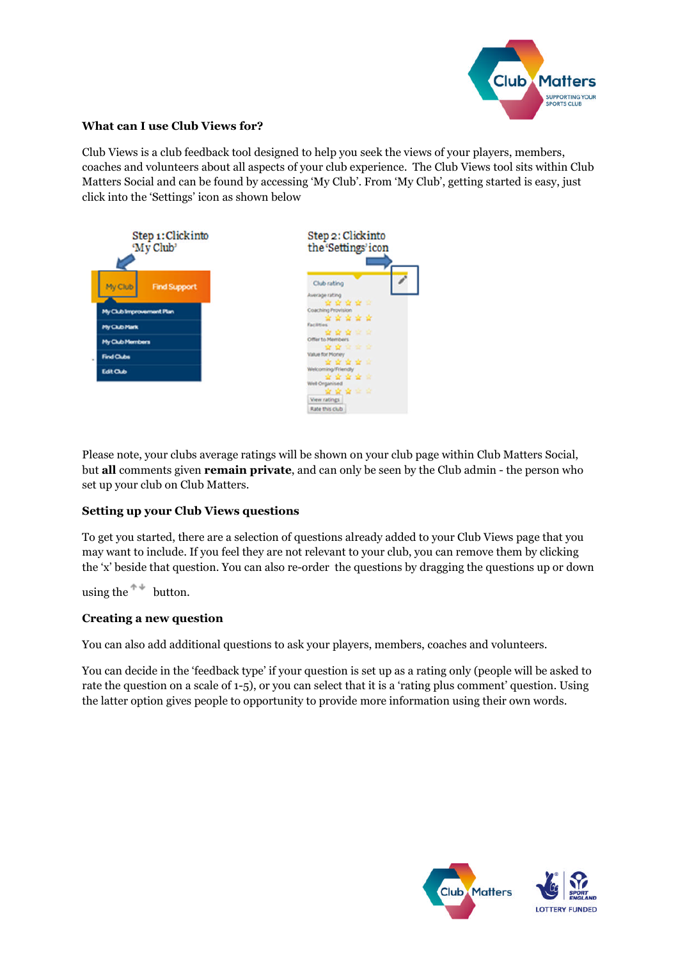

## **What can I use Club Views for?**

Club Views is a club feedback tool designed to help you seek the views of your players, members, coaches and volunteers about all aspects of your club experience. The Club Views tool sits within Club Matters Social and can be found by accessing 'My Club'. From 'My Club', getting started is easy, just click into the 'Settings' icon as shown below



Please note, your clubs average ratings will be shown on your club page within Club Matters Social, but **all** comments given **remain private**, and can only be seen by the Club admin - the person who set up your club on Club Matters.

# **Setting up your Club Views questions**

To get you started, there are a selection of questions already added to your Club Views page that you may want to include. If you feel they are not relevant to your club, you can remove them by clicking the 'x' beside that question. You can also re-order the questions by dragging the questions up or down

using the  $\uparrow^*$  button.

## **Creating a new question**

You can also add additional questions to ask your players, members, coaches and volunteers.

You can decide in the 'feedback type' if your question is set up as a rating only (people will be asked to rate the question on a scale of 1-5), or you can select that it is a 'rating plus comment' question. Using the latter option gives people to opportunity to provide more information using their own words.



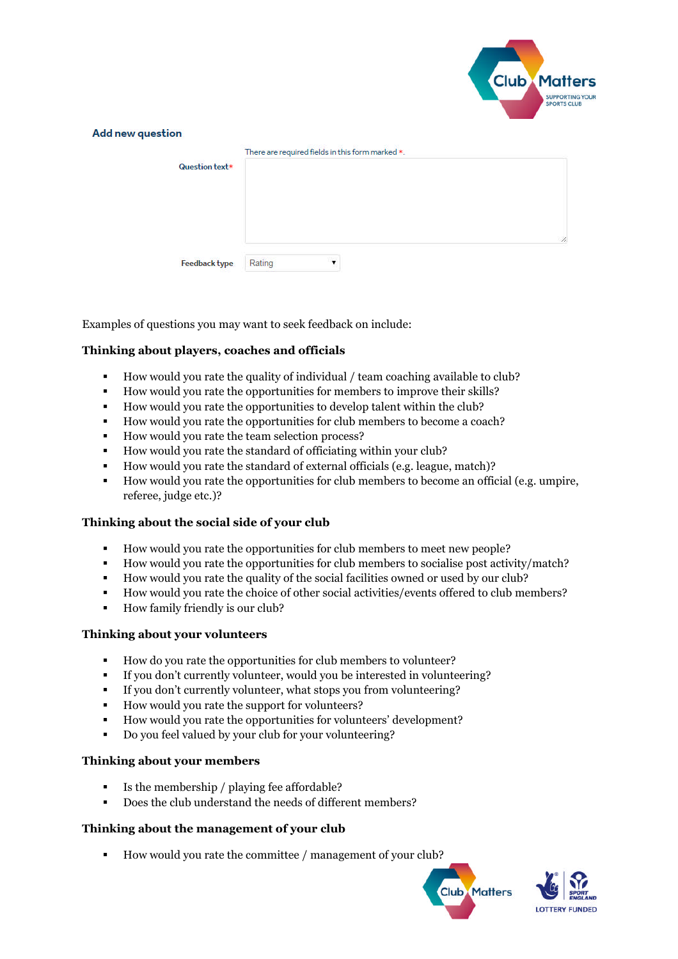

|                      | There are required fields in this form marked $*$ . |              |
|----------------------|-----------------------------------------------------|--------------|
| Question text*       |                                                     |              |
|                      |                                                     |              |
|                      |                                                     |              |
|                      |                                                     |              |
|                      |                                                     | $\mathbb{Z}$ |
| <b>Feedback type</b> | Rating<br>▼                                         |              |

Examples of questions you may want to seek feedback on include:

## **Thinking about players, coaches and officials**

- How would you rate the quality of individual / team coaching available to club?
- How would you rate the opportunities for members to improve their skills?
- How would you rate the opportunities to develop talent within the club?
- How would you rate the opportunities for club members to become a coach?
- How would you rate the team selection process?
- How would you rate the standard of officiating within your club?
- How would you rate the standard of external officials (e.g. league, match)?
- How would you rate the opportunities for club members to become an official (e.g. umpire, referee, judge etc.)?

## **Thinking about the social side of your club**

- How would you rate the opportunities for club members to meet new people?
- How would you rate the opportunities for club members to socialise post activity/match?
- How would you rate the quality of the social facilities owned or used by our club?
- How would you rate the choice of other social activities/events offered to club members?
- How family friendly is our club?

### **Thinking about your volunteers**

- How do you rate the opportunities for club members to volunteer?
- If you don't currently volunteer, would you be interested in volunteering?
- If you don't currently volunteer, what stops you from volunteering?
- How would you rate the support for volunteers?
- How would you rate the opportunities for volunteers' development?
- Do you feel valued by your club for your volunteering?

#### **Thinking about your members**

- Is the membership / playing fee affordable?
- Does the club understand the needs of different members?

## **Thinking about the management of your club**

How would you rate the committee / management of your club?



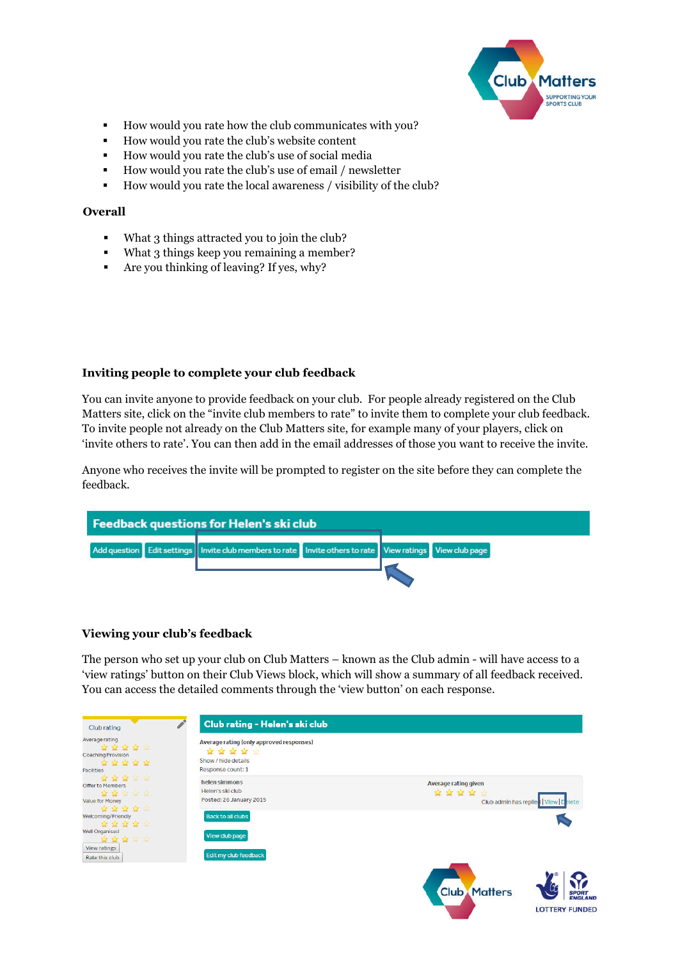

**LOTTERY FUNDED** 

- How would you rate how the club communicates with you?
- How would you rate the club's website content
- How would you rate the club's use of social media
- How would you rate the club's use of email / newsletter
- How would you rate the local awareness / visibility of the club?

## **Overall**

- What 3 things attracted you to join the club?
- What 3 things keep you remaining a member?
- Are you thinking of leaving? If yes, why?

## **Inviting people to complete your club feedback**

You can invite anyone to provide feedback on your club. For people already registered on the Club Matters site, click on the "invite club members to rate" to invite them to complete your club feedback. To invite people not already on the Club Matters site, for example many of your players, click on 'invite others to rate'. You can then add in the email addresses of those you want to receive the invite.

Anyone who receives the invite will be prompted to register on the site before they can complete the feedback.

| Feedback questions for Helen's ski club |                                                                                                                  |  |
|-----------------------------------------|------------------------------------------------------------------------------------------------------------------|--|
|                                         | Add question Edit settings   Invite club members to rate   Invite others to rate   View ratings   View club page |  |

## **Viewing your club's feedback**

The person who set up your club on Club Matters – known as the Club admin - will have access to a 'view ratings' button on their Club Views block, which will show a summary of all feedback received. You can access the detailed comments through the 'view button' on each response.